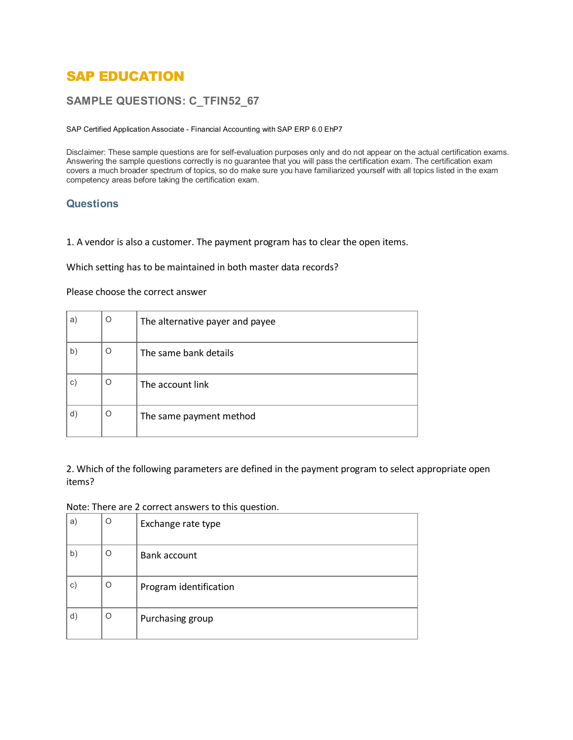# SAP EDUCATION

# **SAMPLE QUESTIONS: C\_TFIN52\_67**

SAP Certified Application Associate - Financial Accounting with SAP ERP 6.0 EhP7

Disclaimer: These sample questions are for self-evaluation purposes only and do not appear on the actual certification exams. Answering the sample questions correctly is no guarantee that you will pass the certification exam. The certification exam covers a much broader spectrum of topics, so do make sure you have familiarized yourself with all topics listed in the exam competency areas before taking the certification exam.

### **Questions**

1. A vendor is also a customer. The payment program has to clear the open items.

Which setting has to be maintained in both master data records?

#### Please choose the correct answer

| a)           | O | The alternative payer and payee |  |  |  |
|--------------|---|---------------------------------|--|--|--|
| $\mathsf{b}$ | Ő | The same bank details           |  |  |  |
| $\mathbf{C}$ | O | The account link                |  |  |  |
| d)           | O | The same payment method         |  |  |  |

2. Which of the following parameters are defined in the payment program to select appropriate open items?

#### Note: There are 2 correct answers to this question.

| $\mathsf{a}$   | O        | Exchange rate type     |  |
|----------------|----------|------------------------|--|
| b)             | $\Omega$ | Bank account           |  |
| $\mathsf{c})$  | O        | Program identification |  |
| $\mathsf{d}$ ) | O        | Purchasing group       |  |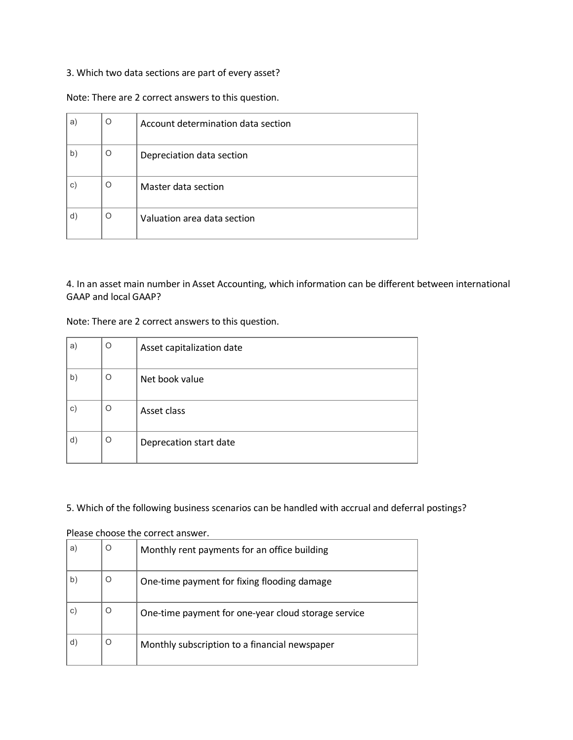### 3. Which two data sections are part of every asset?

Note: There are 2 correct answers to this question.

| a)            | Ω | Account determination data section |  |  |
|---------------|---|------------------------------------|--|--|
| b)            | O | Depreciation data section          |  |  |
| $\mathsf{c})$ | Ω | Master data section                |  |  |
| d)            | O | Valuation area data section        |  |  |

4. In an asset main number in Asset Accounting, which information can be different between international GAAP and local GAAP?

Note: There are 2 correct answers to this question.

| a)             | O       | Asset capitalization date |  |  |
|----------------|---------|---------------------------|--|--|
| $\mathsf{b}$   | O       | Net book value            |  |  |
| $\circ)$       | O       | Asset class               |  |  |
| $\mathsf{d}$ ) | $\circ$ | Deprecation start date    |  |  |

## 5. Which of the following business scenarios can be handled with accrual and deferral postings?

| a)           |   | Monthly rent payments for an office building        |  |  |  |
|--------------|---|-----------------------------------------------------|--|--|--|
| $\mathsf{b}$ |   | One-time payment for fixing flooding damage         |  |  |  |
| C            | Ő | One-time payment for one-year cloud storage service |  |  |  |
|              |   | Monthly subscription to a financial newspaper       |  |  |  |

Please choose the correct answer.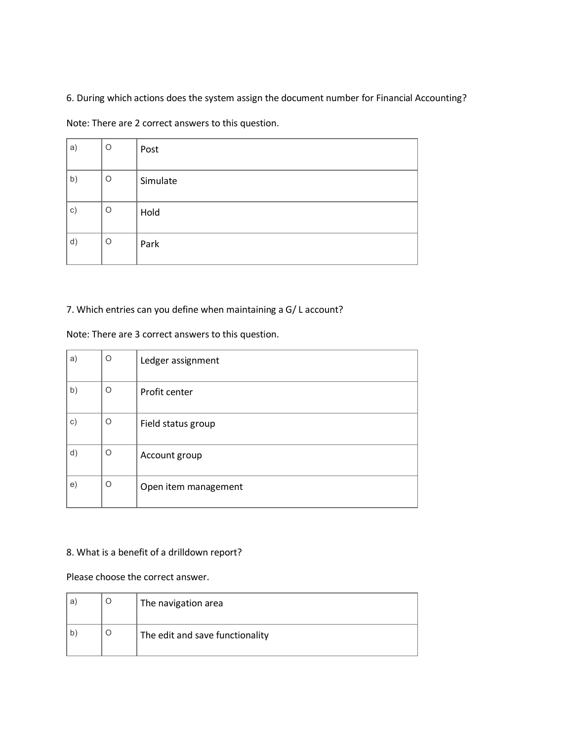6. During which actions does the system assign the document number for Financial Accounting?

Note: There are 2 correct answers to this question.

| a) | O | Post     |
|----|---|----------|
| b) | O | Simulate |
| c) | O | Hold     |
| d) | O | Park     |

# 7. Which entries can you define when maintaining a G/ L account?

Note: There are 3 correct answers to this question.

| a)        | O | Ledger assignment    |
|-----------|---|----------------------|
| b)        | O | Profit center        |
| $\circ$ ) | O | Field status group   |
| d)        | O | Account group        |
| e)        | O | Open item management |

# 8. What is a benefit of a drilldown report?

Please choose the correct answer.

| a | The navigation area             |
|---|---------------------------------|
| b | The edit and save functionality |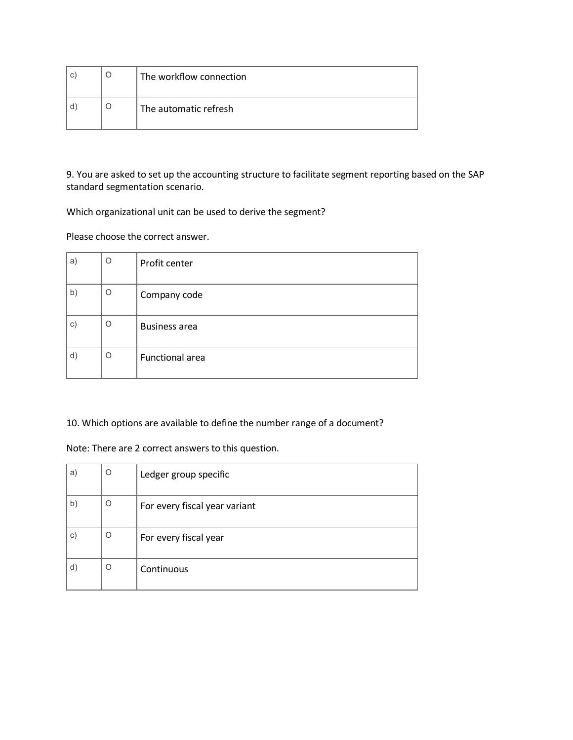| C | The workflow connection |  |  |  |
|---|-------------------------|--|--|--|
|   | The automatic refresh   |  |  |  |

9. You are asked to set up the accounting structure to facilitate segment reporting based on the SAP standard segmentation scenario.

Which organizational unit can be used to derive the segment?

Please choose the correct answer.

| a) | O | Profit center          |
|----|---|------------------------|
| b) | O | Company code           |
| c) | O | <b>Business area</b>   |
| d) | O | <b>Functional area</b> |

10. Which options are available to define the number range of a document?

Note: There are 2 correct answers to this question.

| a)             | O | Ledger group specific         |  |  |  |
|----------------|---|-------------------------------|--|--|--|
| $\mathsf{b}$   | O | For every fiscal year variant |  |  |  |
| c)             | O | For every fiscal year         |  |  |  |
| $\mathsf{d}$ ) | O | Continuous                    |  |  |  |